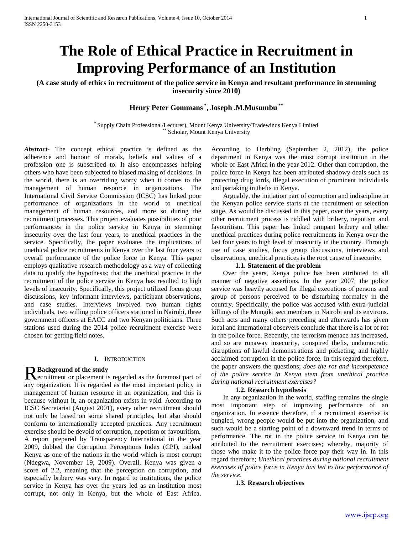# **The Role of Ethical Practice in Recruitment in Improving Performance of an Institution**

**(A case study of ethics in recruitment of the police service in Kenya and resultant performance in stemming insecurity since 2010)**

# **Henry Peter Gommans \* , Joseph .M.Musumbu \*\***

\* Supply Chain Professional/Lecturer), Mount Kenya University/Tradewinds Kenya Limited Scholar, Mount Kenya University

*Abstract***-** The concept ethical practice is defined as the adherence and honour of morals, beliefs and values of a profession one is subscribed to. It also encompasses helping others who have been subjected to biased making of decisions. In the world, there is an overriding worry when it comes to the management of human resource in organizations. The International Civil Service Commission (ICSC) has linked poor performance of organizations in the world to unethical management of human resources, and more so during the recruitment processes. This project evaluates possibilities of poor performances in the police service in Kenya in stemming insecurity over the last four years, to unethical practices in the service. Specifically, the paper evaluates the implications of unethical police recruitments in Kenya over the last four years to overall performance of the police force in Kenya. This paper employs qualitative research methodology as a way of collecting data to qualify the hypothesis; that the unethical practice in the recruitment of the police service in Kenya has resulted to high levels of insecurity. Specifically, this project utilized focus group discussions, key informant interviews, participant observations, and case studies. Interviews involved two human rights individuals, two willing police officers stationed in Nairobi, three government officers at EACC and two Kenyan politicians. Three stations used during the 2014 police recruitment exercise were chosen for getting field notes.

#### I. INTRODUCTION

# **Background of the study**

R Background of the study<br>Recruitment or placement is regarded as the foremost part of any organization. It is regarded as the most important policy in management of human resource in an organization, and this is because without it, an organization exists in void. According to ICSC Secretariat (August 2001), every other recruitment should not only be based on some shared principles, but also should conform to internationally accepted practices. Any recruitment exercise should be devoid of corruption, nepotism or favouritism. A report prepared by Transparency International in the year 2009, dubbed the Corruption Perceptions Index (CPI), ranked Kenya as one of the nations in the world which is most corrupt (Ndegwa, November 19, 2009). Overall, Kenya was given a score of 2.2, meaning that the perception on corruption, and especially bribery was very. In regard to institutions, the police service in Kenya has over the years led as an institution most corrupt, not only in Kenya, but the whole of East Africa.

According to Herbling (September 2, 2012), the police department in Kenya was the most corrupt institution in the whole of East Africa in the year 2012. Other than corruption, the police force in Kenya has been attributed shadowy deals such as protecting drug lords, illegal execution of prominent individuals and partaking in thefts in Kenya.

 Arguably, the initiation part of corruption and indiscipline in the Kenyan police service starts at the recruitment or selection stage. As would be discussed in this paper, over the years, every other recruitment process is riddled with bribery, nepotism and favouritism. This paper has linked rampant bribery and other unethical practices during police recruitments in Kenya over the last four years to high level of insecurity in the country. Through use of case studies, focus group discussions, interviews and observations, unethical practices is the root cause of insecurity.

#### **1.1. Statement of the problem**

 Over the years, Kenya police has been attributed to all manner of negative assertions. In the year 2007, the police service was heavily accused for illegal executions of persons and group of persons perceived to be disturbing normalcy in the country. Specifically, the police was accused with extra-judicial killings of the Mungiki sect members in Nairobi and its environs. Such acts and many others preceding and afterwards has given local and international observers conclude that there is a lot of rot in the police force. Recently, the terrorism menace has increased, and so are runaway insecurity, conspired thefts, undemocratic disruptions of lawful demonstrations and picketing, and highly acclaimed corruption in the police force. In this regard therefore, the paper answers the questions; *does the rot and incompetence of the police service in Kenya stem from unethical practice during national recruitment exercises?* 

#### **1.2. Research hypothesis**

 In any organization in the world, staffing remains the single most important step of improving performance of an organization. In essence therefore, if a recruitment exercise is bungled, wrong people would be put into the organization, and such would be a starting point of a downward trend in terms of performance. The rot in the police service in Kenya can be attributed to the recruitment exercises; whereby, majority of those who make it to the police force pay their way in. In this regard therefore; *Unethical practices during national recruitment exercises of police force in Kenya has led to low performance of the service.* 

#### **1.3. Research objectives**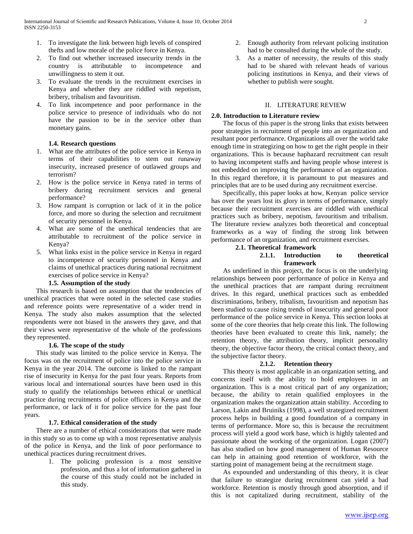- 1. To investigate the link between high levels of conspired thefts and low morale of the police force in Kenya.
- 2. To find out whether increased insecurity trends in the country is attributable to incompetence and unwillingness to stem it out.
- 3. To evaluate the trends in the recruitment exercises in Kenya and whether they are riddled with nepotism, bribery, tribalism and favouritism.
- 4. To link incompetence and poor performance in the police service to presence of individuals who do not have the passion to be in the service other than monetary gains.

#### **1.4. Research questions**

- 1. What are the attributes of the police service in Kenya in terms of their capabilities to stem out runaway insecurity, increased presence of outlawed groups and terrorism?
- 2. How is the police service in Kenya rated in terms of bribery during recruitment services and general performance?
- 3. How rampant is corruption or lack of it in the police force, and more so during the selection and recruitment of security personnel in Kenya.
- 4. What are some of the unethical tendencies that are attributable to recruitment of the police service in Kenya?
- 5. What links exist in the police service in Kenya in regard to incompetence of security personnel in Kenya and claims of unethical practices during national recruitment exercises of police service in Kenya?

# **1.5. Assumption of the study**

 This research is based on assumption that the tendencies of unethical practices that were noted in the selected case studies and reference points were representative of a wider trend in Kenya. The study also makes assumption that the selected respondents were not biased in the answers they gave, and that their views were representative of the whole of the professions they represented.

# **1.6. The scope of the study**

 This study was limited to the police service in Kenya. The focus was on the recruitment of police into the police service in Kenya in the year 2014. The outcome is linked to the rampant rise of insecurity in Kenya for the past four years. Reports from various local and international sources have been used in this study to qualify the relationships between ethical or unethical practice during recruitments of police officers in Kenya and the performance, or lack of it for police service for the past four years.

# **1.7. Ethical consideration of the study**

 There are a number of ethical considerations that were made in this study so as to come up with a most representative analysis of the police in Kenya, and the link of poor performance to unethical practices during recruitment drives.

> 1. The policing profession is a most sensitive profession, and thus a lot of information gathered in the course of this study could not be included in this study.

- 2. Enough authority from relevant policing institution had to be consulted during the whole of the study.
- 3. As a matter of necessity, the results of this study had to be shared with relevant heads of various policing institutions in Kenya, and their views of whether to publish were sought.

#### II. LITERATURE REVIEW

#### **2.0. Introduction to Literature review**

 The focus of this paper is the strong links that exists between poor strategies in recruitment of people into an organization and resultant poor performance. Organizations all over the world take enough time in strategizing on how to get the right people in their organizations. This is because haphazard recruitment can result to having incompetent staffs and having people whose interest is not embedded on improving the performance of an organization. In this regard therefore, it is paramount to put measures and principles that are to be used during any recruitment exercise.

 Specifically, this paper looks at how, Kenyan police service has over the years lost its glory in terms of performance, simply because their recruitment exercises are riddled with unethical practices such as bribery, nepotism, favouritism and tribalism. The literature review analyzes both theoretical and conceptual frameworks as a way of finding the strong link between performance of an organization, and recruitment exercises.

**2.1. Theoretical framework** 

# **2.1.1. Introduction to theoretical framework**

 As underlined in this project, the focus is on the underlying relationships between poor performance of police in Kenya and the unethical practices that are rampant during recruitment drives. In this regard, unethical practices such as embedded discriminations, bribery, tribalism, favouritism and nepotism has been studied to cause rising trends of insecurity and general poor performance of the police service in Kenya. This section looks at some of the core theories that help create this link. The following theories have been evaluated to create this link, namely; the retention theory, the attribution theory, implicit personality theory, the objective factor theory, the critical contact theory, and the subjective factor theory.

# **2.1.2. Retention theory**

 This theory is most applicable in an organization setting, and concerns itself with the ability to hold employees in an organization. This is a most critical part of any organization; because, the ability to retain qualified employees in the organization makes the organization attain stability. According to Larson, Lakin and Bruiniks (1998), a well strategized recruitment process helps in building a good foundation of a company in terms of performance. More so, this is because the recruitment process will yield a good work base, which is highly talented and passionate about the working of the organization. Logan (2007) has also studied on how good management of Human Resource can help in attaining good retention of workforce, with the starting point of management being at the recruitment stage.

 As expounded and understanding of this theory, it is clear that failure to strategize during recruitment can yield a bad workforce. Retention is mostly through good absorption, and if this is not capitalized during recruitment, stability of the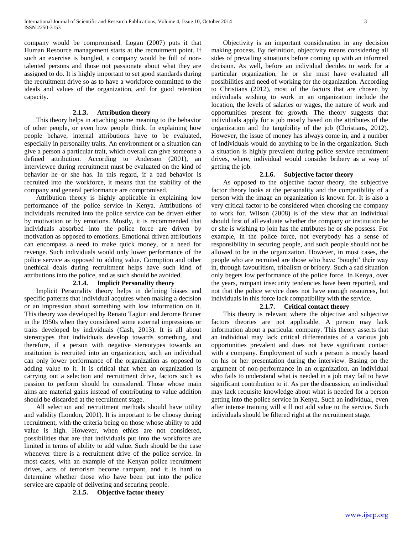company would be compromised. Logan (2007) puts it that Human Resource management starts at the recruitment point. If such an exercise is bungled, a company would be full of nontalented persons and those not passionate about what they are assigned to do. It is highly important to set good standards during the recruitment drive so as to have a workforce committed to the ideals and values of the organization, and for good retention capacity.

#### **2.1.3. Attribution theory**

 This theory helps in attaching some meaning to the behavior of other people, or even how people think. In explaining how people behave, internal attributions have to be evaluated, especially in personality traits. An environment or a situation can give a person a particular trait, which overall can give someone a defined attribution. According to Anderson (2001), an interviewee during recruitment must be evaluated on the kind of behavior he or she has. In this regard, if a bad behavior is recruited into the workforce, it means that the stability of the company and general performance are compromised.

 Attribution theory is highly applicable in explaining low performance of the police service in Kenya. Attributions of individuals recruited into the police service can be driven either by motivation or by emotions. Mostly, it is recommended that individuals absorbed into the police force are driven by motivation as opposed to emotions. Emotional driven attributions can encompass a need to make quick money, or a need for revenge. Such individuals would only lower performance of the police service as opposed to adding value. Corruption and other unethical deals during recruitment helps have such kind of attributions into the police, and as such should be avoided.

# **2.1.4. Implicit Personality theory**

 Implicit Personality theory helps in defining biases and specific patterns that individual acquires when making a decision or an impression about something with low information on it. This theory was developed by Renato Tagiuri and Jerome Bruner in the 1950s when they considered some external impressions or traits developed by individuals (Cash, 2013). It is all about stereotypes that individuals develop towards something, and therefore, if a person with negative stereotypes towards an institution is recruited into an organization, such an individual can only lower performance of the organization as opposed to adding value to it. It is critical that when an organization is carrying out a selection and recruitment drive, factors such as passion to perform should be considered. Those whose main aims are material gains instead of contributing to value addition should be discarded at the recruitment stage.

 All selection and recruitment methods should have utility and validity (London, 2001). It is important to be choosy during recruitment, with the criteria being on those whose ability to add value is high. However, when ethics are not considered, possibilities that are that individuals put into the workforce are limited in terms of ability to add value. Such should be the case whenever there is a recruitment drive of the police service. In most cases, with an example of the Kenyan police recruitment drives, acts of terrorism become rampant, and it is hard to determine whether those who have been put into the police service are capable of delivering and securing people.

#### **2.1.5. Objective factor theory**

 Objectivity is an important consideration in any decision making process. By definition, objectivity means considering all sides of prevailing situations before coming up with an informed decision. As well, before an individual decides to work for a particular organization, he or she must have evaluated all possibilities and need of working for the organization. According to Christians (2012), most of the factors that are chosen by individuals wishing to work in an organization include the location, the levels of salaries or wages, the nature of work and opportunities present for growth. The theory suggests that individuals apply for a job mostly based on the attributes of the organization and the tangibility of the job (Christians, 2012). However, the issue of money has always come in, and a number of individuals would do anything to be in the organization. Such a situation is highly prevalent during police service recruitment drives, where, individual would consider bribery as a way of getting the job.

#### **2.1.6. Subjective factor theory**

 As opposed to the objective factor theory, the subjective factor theory looks at the personality and the compatibility of a person with the image an organization is known for. It is also a very critical factor to be considered when choosing the company to work for. Wilson (2008) is of the view that an individual should first of all evaluate whether the company or institution he or she is wishing to join has the attributes he or she possess. For example, in the police force, not everybody has a sense of responsibility in securing people, and such people should not be allowed to be in the organization. However, in most cases, the people who are recruited are those who have "bought" their way in, through favouritism, tribalism or bribery. Such a sad situation only begets low performance of the police force. In Kenya, over the years, rampant insecurity tendencies have been reported, and not that the police service does not have enough resources, but individuals in this force lack compatibility with the service.

#### **2.1.7. Critical contact theory**

 This theory is relevant where the objective and subjective factors theories are not applicable. A person may lack information about a particular company. This theory asserts that an individual may lack critical differentiates of a various job opportunities prevalent and does not have significant contact with a company. Employment of such a person is mostly based on his or her presentation during the interview. Basing on the argument of non-performance in an organization, an individual who fails to understand what is needed in a job may fail to have significant contribution to it. As per the discussion, an individual may lack requisite knowledge about what is needed for a person getting into the police service in Kenya. Such an individual, even after intense training will still not add value to the service. Such individuals should be filtered right at the recruitment stage.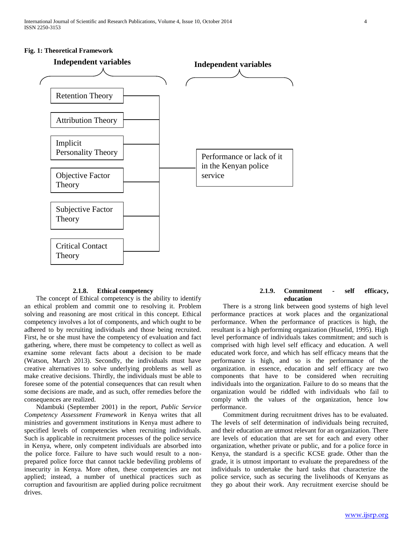#### **Fig. 1: Theoretical Framework**



#### **2.1.8. Ethical competency**

 The concept of Ethical competency is the ability to identify an ethical problem and commit one to resolving it. Problem solving and reasoning are most critical in this concept. Ethical competency involves a lot of components, and which ought to be adhered to by recruiting individuals and those being recruited. First, he or she must have the competency of evaluation and fact gathering, where, there must be competency to collect as well as examine some relevant facts about a decision to be made (Watson, March 2013). Secondly, the individuals must have creative alternatives to solve underlying problems as well as make creative decisions. Thirdly, the individuals must be able to foresee some of the potential consequences that can result when some decisions are made, and as such, offer remedies before the consequences are realized.

 Ndambuki (September 2001) in the report, *Public Service Competency Assessment Framework* in Kenya writes that all ministries and government institutions in Kenya must adhere to specified levels of competencies when recruiting individuals. Such is applicable in recruitment processes of the police service in Kenya, where, only competent individuals are absorbed into the police force. Failure to have such would result to a nonprepared police force that cannot tackle bedeviling problems of insecurity in Kenya. More often, these competencies are not applied; instead, a number of unethical practices such as corruption and favouritism are applied during police recruitment drives.

# **2.1.9. Commitment - self efficacy, education**

 There is a strong link between good systems of high level performance practices at work places and the organizational performance. When the performance of practices is high, the resultant is a high performing organization (Huselid, 1995). High level performance of individuals takes commitment; and such is comprised with high level self efficacy and education. A well educated work force, and which has self efficacy means that the performance is high, and so is the performance of the organization. in essence, education and self efficacy are two components that have to be considered when recruiting individuals into the organization. Failure to do so means that the organization would be riddled with individuals who fail to comply with the values of the organization, hence low performance.

 Commitment during recruitment drives has to be evaluated. The levels of self determination of individuals being recruited, and their education are utmost relevant for an organization. There are levels of education that are set for each and every other organization, whether private or public, and for a police force in Kenya, the standard is a specific KCSE grade. Other than the grade, it is utmost important to evaluate the preparedness of the individuals to undertake the hard tasks that characterize the police service, such as securing the livelihoods of Kenyans as they go about their work. Any recruitment exercise should be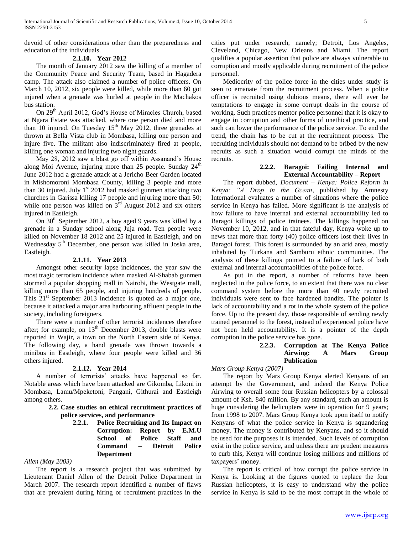devoid of other considerations other than the preparedness and education of the individuals.

#### **2.1.10. Year 2012**

 The month of January 2012 saw the killing of a member of the Community Peace and Security Team, based in Hagadera camp. The attack also claimed a number of police officers. On March 10, 2012, six people were killed, while more than 60 got injured when a grenade was hurled at people in the Machakos bus station.

On 29<sup>th</sup> April 2012, God's House of Miracles Church, based at Ngara Estate was attacked, where one person died and more than 10 injured. On Tuesday  $15<sup>th</sup>$  May 2012, three grenades at thrown at Bella Vista club in Mombasa, killing one person and injure five. The militant also indiscriminately fired at people, killing one woman and injuring two night guards.

 May 28, 2012 saw a blast go off within Assanand"s House along Moi Avenue, injuring more than  $25$  people. Sunday  $24<sup>th</sup>$ June 2012 had a grenade attack at a Jericho Beer Garden located in Mishomoroni Mombasa County, killing 3 people and more than 30 injured. July  $1<sup>st</sup>$  2012 had masked gunmen attacking two churches in Garissa killing 17 people and injuring more than 50; while one person was killed on  $3^{\text{rd}}$  August 2012 and six others injured in Eastleigh.

On 30<sup>th</sup> September 2012, a boy aged 9 years was killed by a grenade in a Sunday school along Juja road. Ten people were killed on November 18 2012 and 25 injured in Eastleigh, and on Wednesday 5<sup>th</sup> December, one person was killed in Joska area, Eastleigh.

#### **2.1.11. Year 2013**

 Amongst other security lapse incidences, the year saw the most tragic terrorism incidence when masked Al-Shabab gunmen stormed a popular shopping mall in Nairobi, the Westgate mall, killing more than 65 people, and injuring hundreds of people. This  $21<sup>st</sup>$  September 2013 incidence is quoted as a major one, because it attacked a major area harbouring affluent people in the society, including foreigners.

 There were a number of other terrorist incidences therefore after; for example, on  $13<sup>th</sup>$  December 2013, double blasts were reported in Wajir, a town on the North Eastern side of Kenya. The following day, a hand grenade was thrown towards a minibus in Eastleigh, where four people were killed and 36 others injured.

#### **2.1.12. Year 2014**

 A number of terrorists" attacks have happened so far. Notable areas which have been attacked are Gikomba, Likoni in Mombasa, Lamu/Mpeketoni, Pangani, Githurai and Eastleigh among others.

> **2.2. Case studies on ethical recruitment practices of police services, and performance**

> > **2.2.1. Police Recruiting and Its Impact on Corruption: Report by E.M.U School of Police Staff and Command – Detroit Police Department**

#### *Allen (May 2003)*

 The report is a research project that was submitted by Lieutenant Daniel Allen of the Detroit Police Department in March 2007. The research report identified a number of flaws that are prevalent during hiring or recruitment practices in the

cities put under research, namely; Detroit, Los Angeles, Cleveland, Chicago, New Orleans and Miami. The report qualifies a popular assertion that police are always vulnerable to corruption and mostly applicable during recruitment of the police personnel.

 Mediocrity of the police force in the cities under study is seen to emanate from the recruitment process. When a police officer is recruited using dubious means, there will ever be temptations to engage in some corrupt deals in the course of working. Such practices mentor police personnel that it is okay to engage in corruption and other forms of unethical practice, and such can lower the performance of the police service. To end the trend, the chain has to be cut at the recruitment process. The recruiting individuals should not demand to be bribed by the new recruits as such a situation would corrupt the minds of the recruits.

# **2.2.2. Baragoi: Failing Internal and External Accountability – Report**

 The report dubbed, *Document – Kenya: Police Reform in Kenya: "A Drop in the Ocean*, published by Amnesty International evaluates a number of situations where the police service in Kenya has failed. More significant is the analysis of how failure to have internal and external accountability led to Baragoi killings of police trainees. The killings happened on November 10, 2012, and in that fateful day, Kenya woke up to news that more than forty (40) police officers lost their lives in Baragoi forest. This forest is surrounded by an arid area, mostly inhabited by Turkana and Samburu ethnic communities. The analysis of these killings pointed to a failure of lack of both external and internal accountabilities of the police force.

 As put in the report, a number of reforms have been neglected in the police force, to an extent that there was no clear command system before the more than 40 newly recruited individuals were sent to face hardened bandits. The pointer is lack of accountability and a rot in the whole system of the police force. Up to the present day, those responsible of sending newly trained personnel to the forest, instead of experienced police have not been held accountability. It is a pointer of the depth corruption in the police service has gone.

# **2.2.3. Corruption at The Kenya Police Airwing: A Mars Group Publication**

*Mars Group Kenya (2007)*

 The report by Mars Group Kenya alerted Kenyans of an attempt by the Government, and indeed the Kenya Police Airwing to overall some four Russian helicopters by a colossal amount of Ksh. 840 million. By any standard, such an amount is huge considering the helicopters were in operation for 9 years; from 1998 to 2007. Mars Group Kenya took upon itself to notify Kenyans of what the police service in Kenya is squandering money. The money is contributed by Kenyans, and so it should be used for the purposes it is intended. Such levels of corruption exist in the police service, and unless there are prudent measures to curb this, Kenya will continue losing millions and millions of taxpayers' money.

 The report is critical of how corrupt the police service in Kenya is. Looking at the figures quoted to replace the four Russian helicopters, it is easy to understand why the police service in Kenya is said to be the most corrupt in the whole of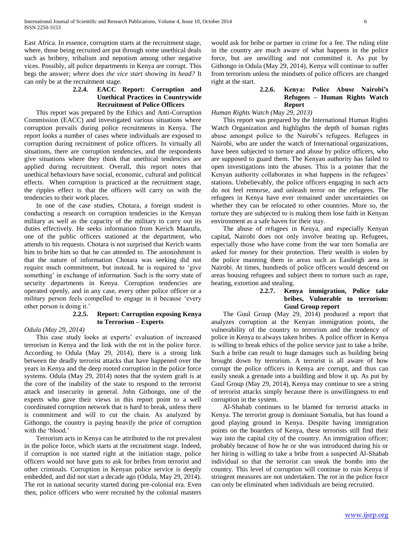East Africa. In essence, corruption starts at the recruitment stage, where, those being recruited are put through some unethical deals such as bribery, tribalism and nepotism among other negative vices. Possibly, all police departments in Kenya are corrupt. This begs the answer; *where does the vice start showing its head?* It can only be at the recruitment stage.

# **2.2.4. EACC Report: Corruption and Unethical Practices in Countrywide Recruitment of Police Officers**

 This report was prepared by the Ethics and Anti-Corruption Commission (EACC) and investigated various situations where corruption prevails during police recruitments in Kenya. The report looks a number of cases where individuals are exposed to corruption during recruitment of police officers. In virtually all situations, there are corruption tendencies, and the respondents give situations where they think that unethical tendencies are applied during recruitment. Overall, this report notes that unethical behaviours have social, economic, cultural and political effects. When corruption is practiced at the recruitment stage, the ripples effect is that the officers will carry on with the tendencies to their work places.

 In one of the case studies, Chotara, a foreign student is conducting a research on corruption tendencies in the Kenyan military as well as the capacity of the military to carry out its duties effectively. He seeks information from Kerich Maarufu, one of the public officers stationed at the department, who attends to his requests. Chotara is not surprised that Kerich wants him to bribe him so that he can attended to. The astonishment is that the nature of information Chotara was seeking did not require much commitment, but instead, he is required to "give something' in exchange of information. Such is the sorry state of security departments in Kenya. Corruption tendencies are operated openly, and in any case, every other police officer or a military person feels compelled to engage in it because "every other person is doing it."

# **2.2.5. Report: Corruption exposing Kenya to Terrorism – Experts**

# *Odula (May 29, 2014)*

This case study looks at experts' evaluation of increased terrorism in Kenya and the link with the rot in the police force. According to Odula (May 29, 2014), there is a strong link between the deadly terrorist attacks that have happened over the years in Kenya and the deep rooted corruption in the police force systems. Odula (May 29, 2014) notes that the system graft is at the core of the inability of the state to respond to the terrorist attack and insecurity in general. John Githongo, one of the experts who gave their views in this report point to a well coordinated corruption network that is hard to break, unless there is commitment and will to cut the chain. As analyzed by Githongo, the country is paying heavily the price of corruption with the 'blood.'

 Terrorism acts in Kenya can be attributed to the rot prevalent in the police force, which starts at the recruitment stage. Indeed, if corruption is not started right at the initiation stage, police officers would not have guts to ask for bribes from terrorist and other criminals. Corruption in Kenyan police service is deeply embedded, and did not start a decade ago (Odula, May 29, 2014). The rot in national security started during pre-colonial era. Even then, police officers who were recruited by the colonial masters

would ask for bribe or partner in crime for a fee. The ruling elite in the country are much aware of what happens in the police force, but are unwilling and not committed it. As put by Githongo in Odula (May 29, 2014), Kenya will continue to suffer from terrorism unless the mindsets of police officers are changed right at the start.

# **2.2.6. Kenya: Police Abuse Nairobi's Refugees – Human Rights Watch Report**

# *Human Rights Watch (May 29, 2013)*

 This report was prepared by the International Human Rights Watch Organization and highlights the depth of human rights abuse amongst police to the Nairobi"s refugees. Refugees in Nairobi, who are under the watch of International organizations, have been subjected to torture and abuse by police officers, who are supposed to guard them. The Kenyan authority has failed to open investigations into the abuses. This is a pointer that the Kenyan authority collaborates in what happens in the refugees' stations. Unbelievably, the police officers engaging in such acts do not feel remorse, and unleash terror on the refugees. The refugees in Kenya have ever remained under uncertainties on whether they can be relocated to other countries. More so, the torture they are subjected to is making them lose faith in Kenyan environment as a safe haven for their stay.

 The abuse of refugees in Kenya, and especially Kenyan capital, Nairobi does not only involve beating up. Refugees, especially those who have come from the war torn Somalia are asked for money for their protection. Their wealth is stolen by the police manning them in areas such as Eastleigh area in Nairobi. At times, hundreds of police officers would descend on areas housing refugees and subject them to torture such as rape, beating, extortion and stealing.

# **2.2.7. Kenya immigration, Police take bribes, Vulnerable to terrorism: Guul Group report**

 The Guul Group (May 29, 2014) produced a report that analyzes corruption at the Kenyan immigration points, the vulnerability of the country to terrorism and the tendency of police in Kenya to always taken bribes. A police officer in Kenya is willing to break ethics of the police service just to take a bribe. Such a bribe can result to huge damages such as building being brought down by terrorism. A terrorist is all aware of how corrupt the police officers in Kenya are corrupt, and thus can easily sneak a grenade into a building and blow it up. As put by Guul Group (May 29, 2014), Kenya may continue to see a string of terrorist attacks simply because there is unwillingness to end corruption in the system.

 Al-Shabab continues to be blamed for terrorist attacks in Kenya. The terrorist group is dominant Somalia, but has found a good playing ground in Kenya. Despite having immigration points on the boarders of Kenya, these terrorists still find their way into the capital city of the country. An immigration officer; probably because of how he or she was introduced during his or her hiring is willing to take a bribe from a suspected Al-Shabab individual so that the terrorist can sneak the bombs into the country. This level of corruption will continue to ruin Kenya if stringent measures are not undertaken. The rot in the police force can only be eliminated when individuals are being recruited.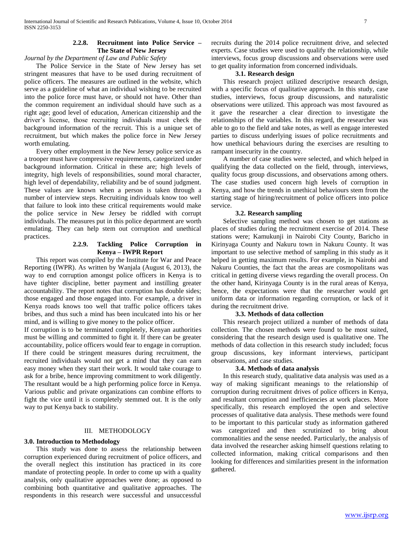#### **2.2.8. Recruitment into Police Service – The State of New Jersey**

*Journal by the Department of Law and Public Safety*

 The Police Service in the State of New Jersey has set stringent measures that have to be used during recruitment of police officers. The measures are outlined in the website, which serve as a guideline of what an individual wishing to be recruited into the police force must have, or should not have. Other than the common requirement an individual should have such as a right age; good level of education, American citizenship and the driver"s license, those recruiting individuals must check the background information of the recruit. This is a unique set of recruitment, but which makes the police force in New Jersey worth emulating.

 Every other employment in the New Jersey police service as a trooper must have compressive requirements, categorized under background information. Critical in these are; high levels of integrity, high levels of responsibilities, sound moral character, high level of dependability, reliability and be of sound judgment. These values are known when a person is taken through a number of interview steps. Recruiting individuals know too well that failure to look into these critical requirements would make the police service in New Jersey be riddled with corrupt individuals. The measures put in this police department are worth emulating. They can help stem out corruption and unethical practices.

#### **2.2.9. Tackling Police Corruption in Kenya – IWPR Report**

 This report was compiled by the Institute for War and Peace Reporting (IWPR). As written by Wanjala (August 6, 2013), the way to end corruption amongst police officers in Kenya is to have tighter discipline, better payment and instilling greater accountability. The report notes that corruption has double sides; those engaged and those engaged into. For example, a driver in Kenya roads knows too well that traffic police officers takes bribes, and thus such a mind has been inculcated into his or her mind, and is willing to give money to the police officer.

If corruption is to be terminated completely, Kenyan authorities must be willing and committed to fight it. If there can be greater accountability, police officers would fear to engage in corruption. If there could be stringent measures during recruitment, the recruited individuals would not get a mind that they can earn easy money when they start their work. It would take courage to ask for a bribe, hence improving commitment to work diligently. The resultant would be a high performing police force in Kenya. Various public and private organizations can combine efforts to fight the vice until it is completely stemmed out. It is the only way to put Kenya back to stability.

# III. METHODOLOGY

# **3.0. Introduction to Methodology**

 This study was done to assess the relationship between corruption experienced during recruitment of police officers, and the overall neglect this institution has practiced in its core mandate of protecting people. In order to come up with a quality analysis, only qualitative approaches were done; as opposed to combining both quantitative and qualitative approaches. The respondents in this research were successful and unsuccessful recruits during the 2014 police recruitment drive, and selected experts. Case studies were used to qualify the relationship, while interviews, focus group discussions and observations were used to get quality information from concerned individuals.

# **3.1. Research design**

 This research project utilized descriptive research design, with a specific focus of qualitative approach. In this study, case studies, interviews, focus group discussions, and naturalistic observations were utilized. This approach was most favoured as it gave the researcher a clear direction to investigate the relationships of the variables. In this regard, the researcher was able to go to the field and take notes, as well as engage interested parties to discuss underlying issues of police recruitments and how unethical behaviours during the exercises are resulting to rampant insecurity in the country.

 A number of case studies were selected, and which helped in qualifying the data collected on the field, through, interviews, quality focus group discussions, and observations among others. The case studies used concern high levels of corruption in Kenya, and how the trends in unethical behaviours stem from the starting stage of hiring/recruitment of police officers into police service.

# **3.2. Research sampling**

 Selective sampling method was chosen to get stations as places of studies during the recruitment exercise of 2014. These stations were; Kamukunji in Nairobi City County, Baricho in Kirinyaga County and Nakuru town in Nakuru County. It was important to use selective method of sampling in this study as it helped in getting maximum results. For example, in Nairobi and Nakuru Counties, the fact that the areas are cosmopolitans was critical in getting diverse views regarding the overall process. On the other hand, Kirinyaga County is in the rural areas of Kenya, hence, the expectations were that the researcher would get uniform data or information regarding corruption, or lack of it during the recruitment drive.

# **3.3. Methods of data collection**

 This research project utilized a number of methods of data collection. The chosen methods were found to be most suited, considering that the research design used is qualitative one. The methods of data collection in this research study included; focus group discussions, key informant interviews, participant observations, and case studies.

# **3.4. Methods of data analysis**

 In this research study, qualitative data analysis was used as a way of making significant meanings to the relationship of corruption during recruitment drives of police officers in Kenya, and resultant corruption and inefficiencies at work places. More specifically, this research employed the open and selective processes of qualitative data analysis. These methods were found to be important to this particular study as information gathered was categorized and then scrutinized to bring about commonalities and the sense needed. Particularly, the analysis of data involved the researcher asking himself questions relating to collected information, making critical comparisons and then looking for differences and similarities present in the information gathered.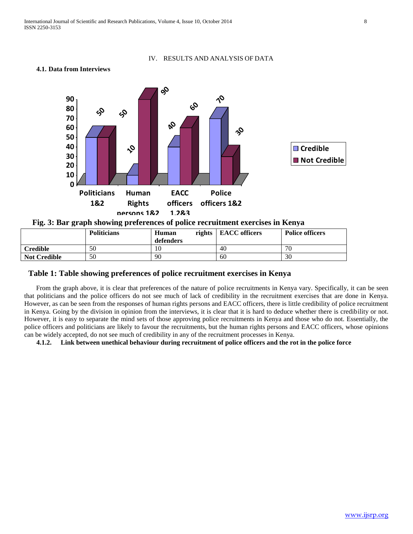#### IV. RESULTS AND ANALYSIS OF DATA

#### **4.1. Data from Interviews**



| TIE. J. Dar gruph showing preferences of police recruitment excretises in Ixerva |                    |           |                        |                        |  |  |  |  |
|----------------------------------------------------------------------------------|--------------------|-----------|------------------------|------------------------|--|--|--|--|
|                                                                                  | <b>Politicians</b> | Human     | rights   EACC officers | <b>Police officers</b> |  |  |  |  |
|                                                                                  |                    | defenders |                        |                        |  |  |  |  |
| <b>Credible</b>                                                                  | 50                 |           | 40                     | 70                     |  |  |  |  |

# **Table 1: Table showing preferences of police recruitment exercises in Kenya**

**4.1.1. Credibility of police recruitment exercises in Kenya** 

**Not Credible** 50 90 60 30

 From the graph above, it is clear that preferences of the nature of police recruitments in Kenya vary. Specifically, it can be seen that politicians and the police officers do not see much of lack of credibility in the recruitment exercises that are done in Kenya. However, as can be seen from the responses of human rights persons and EACC officers, there is little credibility of police recruitment in Kenya. Going by the division in opinion from the interviews, it is clear that it is hard to deduce whether there is credibility or not. However, it is easy to separate the mind sets of those approving police recruitments in Kenya and those who do not. Essentially, the police officers and politicians are likely to favour the recruitments, but the human rights persons and EACC officers, whose opinions can be widely accepted, do not see much of credibility in any of the recruitment processes in Kenya.

**4.1.2. Link between unethical behaviour during recruitment of police officers and the rot in the police force**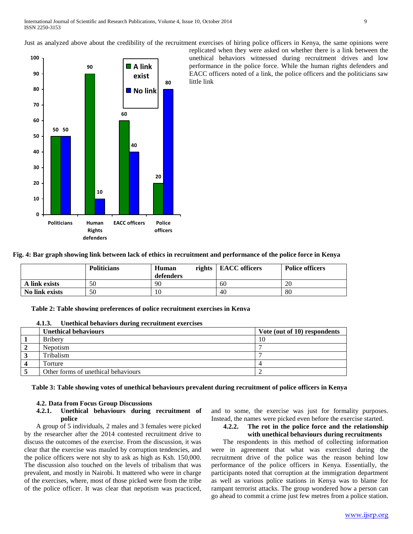Just as analyzed above about the credibility of the recruitment exercises of hiring police officers in Kenya, the same opinions were



replicated when they were asked on whether there is a link between the unethical behaviors witnessed during recruitment drives and low performance in the police force. While the human rights defenders and EACC officers noted of a link, the police officers and the politicians saw little link

|  |  |  |  |  |  | Fig. 4: Bar graph showing link between lack of ethics in recruitment and performance of the police force in Kenya |  |  |  |
|--|--|--|--|--|--|-------------------------------------------------------------------------------------------------------------------|--|--|--|
|  |  |  |  |  |  |                                                                                                                   |  |  |  |

|                | <b>Politicians</b> | Human     | rights   EACC officers | <b>Police officers</b> |  |
|----------------|--------------------|-----------|------------------------|------------------------|--|
|                |                    | defenders |                        |                        |  |
| A link exists  | 50                 | 90        | 60                     | 20                     |  |
| No link exists | 50                 | 10        | 40                     | 80                     |  |

**Table 2: Table showing preferences of police recruitment exercises in Kenya** 

| <b>Unethical behaviours</b>         | Vote (out of 10) respondents |
|-------------------------------------|------------------------------|
| <b>Bribery</b>                      | 10                           |
| Nepotism                            |                              |
| <b>Tribalism</b>                    |                              |
| Torture                             |                              |
| Other forms of unethical behaviours |                              |

**4.1.3. Unethical behaviors during recruitment exercises**

**Table 3: Table showing votes of unethical behaviours prevalent during recruitment of police officers in Kenya** 

# **4.2. Data from Focus Group Discussions**

#### **4.2.1. Unethical behaviours during recruitment of police**

 A group of 5 individuals, 2 males and 3 females were picked by the researcher after the 2014 contested recruitment drive to discuss the outcomes of the exercise. From the discussion, it was clear that the exercise was mauled by corruption tendencies, and the police officers were not shy to ask as high as Ksh. 150,000. The discussion also touched on the levels of tribalism that was prevalent, and mostly in Nairobi. It mattered who were in charge of the exercises, where, most of those picked were from the tribe of the police officer. It was clear that nepotism was practiced,

and to some, the exercise was just for formality purposes. Instead, the names were picked even before the exercise started.

# **4.2.2. The rot in the police force and the relationship with unethical behaviours during recruitments**

 The respondents in this method of collecting information were in agreement that what was exercised during the recruitment drive of the police was the reason behind low performance of the police officers in Kenya. Essentially, the participants noted that corruption at the immigration department as well as various police stations in Kenya was to blame for rampant terrorist attacks. The group wondered how a person can go ahead to commit a crime just few metres from a police station.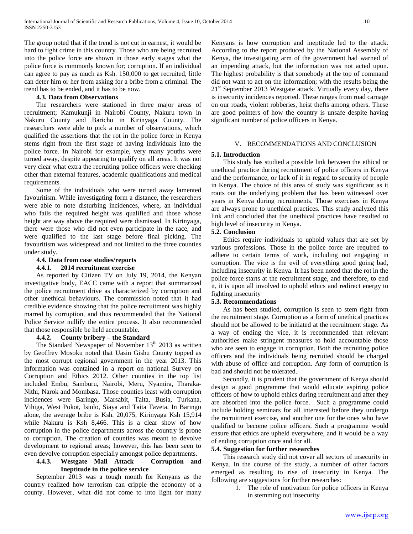The group noted that if the trend is not cut in earnest, it would be hard to fight crime in this country. Those who are being recruited into the police force are shown in those early stages what the police force is commonly known for; corruption. If an individual can agree to pay as much as Ksh. 150,000 to get recruited, little can deter him or her from asking for a bribe from a criminal. The trend has to be ended, and it has to be now.

# **4.3. Data from Observations**

 The researchers were stationed in three major areas of recruitment; Kamukunji in Nairobi County, Nakuru town in Nakuru County and Baricho in Kirinyaga County. The researchers were able to pick a number of observations, which qualified the assertions that the rot in the police force in Kenya stems right from the first stage of having individuals into the police force. In Nairobi for example, very many youths were turned away, despite appearing to qualify on all areas. It was not very clear what extra the recruiting police officers were checking other than external features, academic qualifications and medical requirements.

 Some of the individuals who were turned away lamented favouritism. While investigating form a distance, the researchers were able to note disturbing incidences, where, an individual who fails the required height was qualified and those whose height are way above the required were dismissed. In Kirinyaga, there were those who did not even participate in the race, and were qualified to the last stage before final picking. The favouritism was widespread and not limited to the three counties under study.

#### **4.4. Data from case studies/reports**

#### **4.4.1. 2014 recruitment exercise**

 As reported by Citizen TV on July 19, 2014, the Kenyan investigative body, EACC came with a report that summarized the police recruitment drive as characterized by corruption and other unethical behaviours. The commission noted that it had credible evidence showing that the police recruitment was highly marred by corruption, and thus recommended that the National Police Service nullify the entire process. It also recommended that those responsible be held accountable.

# **4.4.2. County bribery – the Standard**

The Standard Newspaper of November 13<sup>th</sup> 2013 as written by Geoffrey Mosoku noted that Uasin Gishu County topped as the most corrupt regional government in the year 2013. This information was contained in a report on national Survey on Corruption and Ethics 2012. Other counties in the top list included Embu, Samburu, Nairobi, Meru, Nyamira, Tharaka-Nithi, Narok and Mombasa. Those counties least with corruption incidences were Baringo, Marsabit, Taita, Busia, Turkana, Vihiga, West Pokot, Isiolo, Siaya and Taita Taveta. In Baringo alone, the average bribe is Ksh. 20,075, Kirinyaga Ksh 15,914 while Nakuru is Ksh 8,466. This is a clear show of how corruption in the police departments across the country is prone to corruption. The creation of counties was meant to devolve development to regional areas; however, this has been seen to even devolve corruption especially amongst police departments.

# **4.4.3. Westgate Mall Attack – Corruption and Ineptitude in the police service**

 September 2013 was a tough month for Kenyans as the country realized how terrorism can cripple the economy of a county. However, what did not come to into light for many

Kenyans is how corruption and ineptitude led to the attack. According to the report produced by the National Assembly of Kenya, the investigating arm of the government had warned of an impending attack, but the information was not acted upon. The highest probability is that somebody at the top of command did not want to act on the information; with the results being the  $21<sup>st</sup>$  September 2013 Westgate attack. Virtually every day, there is insecurity incidences reported. These ranges from road carnage on our roads, violent robberies, heist thefts among others. These are good pointers of how the country is unsafe despite having significant number of police officers in Kenya.

#### V. RECOMMENDATIONS AND CONCLUSION

#### **5.1. Introduction**

 This study has studied a possible link between the ethical or unethical practice during recruitment of police officers in Kenya and the performance, or lack of it in regard to security of people in Kenya. The choice of this area of study was significant as it roots out the underlying problem that has been witnessed over years in Kenya during recruitments. Those exercises in Kenya are always prone to unethical practices. This study analyzed this link and concluded that the unethical practices have resulted to high level of insecurity in Kenya.

# **5.2. Conclusion**

 Ethics require individuals to uphold values that are set by various professions. Those in the police force are required to adhere to certain terms of work, including not engaging in corruption. The vice is the evil of everything good going bad, including insecurity in Kenya. It has been noted that the rot in the police force starts at the recruitment stage, and therefore, to end it, it is upon all involved to uphold ethics and redirect energy to fighting insecurity

# **5.3. Recommendations**

 As has been studied, corruption is seen to stem right from the recruitment stage. Corruption as a form of unethical practices should not be allowed to be initiated at the recruitment stage. As a way of ending the vice, it is recommended that relevant authorities make stringent measures to hold accountable those who are seen to engage in corruption. Both the recruiting police officers and the individuals being recruited should be charged with abuse of office and corruption. Any form of corruption is bad and should not be tolerated.

 Secondly, it is prudent that the government of Kenya should design a good programme that would educate aspiring police officers of how to uphold ethics during recruitment and after they are absorbed into the police force. Such a programme could include holding seminars for all interested before they undergo the recruitment exercise, and another one for the ones who have qualified to become police officers. Such a programme would ensure that ethics are upheld everywhere, and it would be a way of ending corruption once and for all.

#### **5.4. Suggestion for further researches**

 This research study did not cover all sectors of insecurity in Kenya. In the course of the study, a number of other factors emerged as resulting to rise of insecurity in Kenya. The following are suggestions for further researches:

> 1. The role of motivation for police officers in Kenya in stemming out insecurity